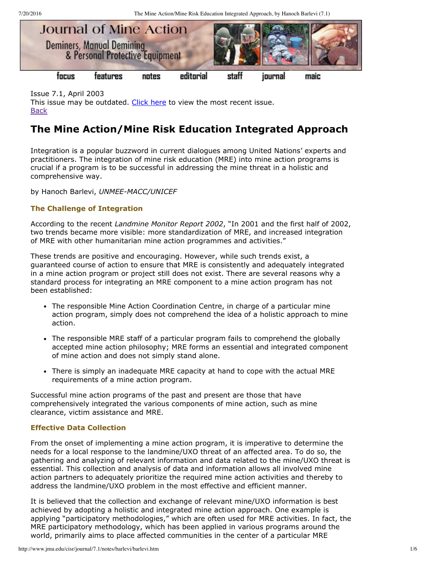7/20/2016 The Mine Action/Mine Risk Education Integrated Approach, by Hanoch Barlevi (7.1)



Issue 7.1, April 2003 This issue may be outdated. [Click](http://www.jmu.edu/cisr/journal/current.shtml) here to view the most recent issue. **[Back](http://www.jmu.edu/cisr/journal/7.1/index.htm)** 

# **The Mine Action/Mine Risk Education Integrated Approach**

Integration is a popular buzzword in current dialogues among United Nations' experts and practitioners. The integration of mine risk education (MRE) into mine action programs is crucial if a program is to be successful in addressing the mine threat in a holistic and comprehensive way.

by Hanoch Barlevi, UNMEE-MACC/UNICEF

# **The Challenge of Integration**

According to the recent *Landmine Monitor Report 2002*, "In 2001 and the first half of 2002, two trends became more visible: more standardization of MRE, and increased integration of MRE with other humanitarian mine action programmes and activities."

These trends are positive and encouraging. However, while such trends exist, a guaranteed course of action to ensure that MRE is consistently and adequately integrated in a mine action program or project still does not exist. There are several reasons why a standard process for integrating an MRE component to a mine action program has not been established:

- The responsible Mine Action Coordination Centre, in charge of a particular mine action program, simply does not comprehend the idea of a holistic approach to mine action.
- The responsible MRE staff of a particular program fails to comprehend the globally accepted mine action philosophy; MRE forms an essential and integrated component of mine action and does not simply stand alone.
- There is simply an inadequate MRE capacity at hand to cope with the actual MRE requirements of a mine action program.

Successful mine action programs of the past and present are those that have comprehensively integrated the various components of mine action, such as mine clearance, victim assistance and MRE.

# **Effective Data Collection**

From the onset of implementing a mine action program, it is imperative to determine the needs for a local response to the landmine/UXO threat of an affected area. To do so, the gathering and analyzing of relevant information and data related to the mine/UXO threat is essential. This collection and analysis of data and information allows all involved mine action partners to adequately prioritize the required mine action activities and thereby to address the landmine/UXO problem in the most effective and efficient manner.

It is believed that the collection and exchange of relevant mine/UXO information is best achieved by adopting a holistic and integrated mine action approach. One example is applying "participatory methodologies," which are often used for MRE activities. In fact, the MRE participatory methodology, which has been applied in various programs around the world, primarily aims to place affected communities in the center of a particular MRE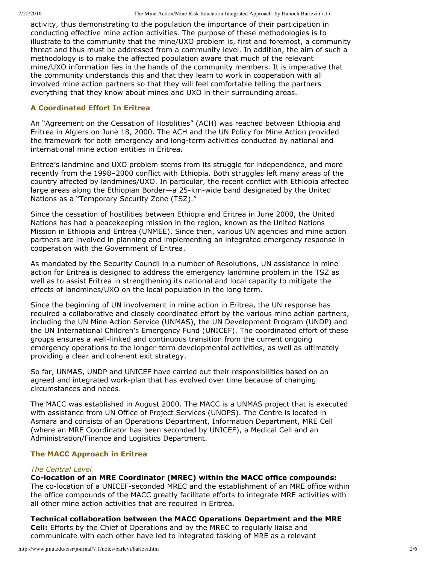7/20/2016 The Mine Action/Mine Risk Education Integrated Approach, by Hanoch Barlevi (7.1)

activity, thus demonstrating to the population the importance of their participation in conducting effective mine action activities. The purpose of these methodologies is to illustrate to the community that the mine/UXO problem is, first and foremost, a community threat and thus must be addressed from a community level. In addition, the aim of such a methodology is to make the affected population aware that much of the relevant mine/UXO information lies in the hands of the community members. It is imperative that the community understands this and that they learn to work in cooperation with all involved mine action partners so that they will feel comfortable telling the partners everything that they know about mines and UXO in their surrounding areas.

### **A Coordinated Effort In Eritrea**

An "Agreement on the Cessation of Hostilities" (ACH) was reached between Ethiopia and Eritrea in Algiers on June 18, 2000. The ACH and the UN Policy for Mine Action provided the framework for both emergency and long-term activities conducted by national and international mine action entities in Eritrea.

Eritrea's landmine and UXO problem stems from its struggle for independence, and more recently from the 1998–2000 conflict with Ethiopia. Both struggles left many areas of the country affected by landmines/UXO. In particular, the recent conflict with Ethiopia affected large areas along the Ethiopian Border—a 25-km-wide band designated by the United Nations as a "Temporary Security Zone (TSZ)."

Since the cessation of hostilities between Ethiopia and Eritrea in June 2000, the United Nations has had a peacekeeping mission in the region, known as the United Nations Mission in Ethiopia and Eritrea (UNMEE). Since then, various UN agencies and mine action partners are involved in planning and implementing an integrated emergency response in cooperation with the Government of Eritrea.

As mandated by the Security Council in a number of Resolutions, UN assistance in mine action for Eritrea is designed to address the emergency landmine problem in the TSZ as well as to assist Eritrea in strengthening its national and local capacity to mitigate the effects of landmines/UXO on the local population in the long term.

Since the beginning of UN involvement in mine action in Eritrea, the UN response has required a collaborative and closely coordinated effort by the various mine action partners, including the UN Mine Action Service (UNMAS), the UN Development Program (UNDP) and the UN International Children's Emergency Fund (UNICEF). The coordinated effort of these groups ensures a well-linked and continuous transition from the current ongoing emergency operations to the longer-term developmental activities, as well as ultimately providing a clear and coherent exit strategy.

So far, UNMAS, UNDP and UNICEF have carried out their responsibilities based on an agreed and integrated work-plan that has evolved over time because of changing circumstances and needs.

The MACC was established in August 2000. The MACC is a UNMAS project that is executed with assistance from UN Office of Project Services (UNOPS). The Centre is located in Asmara and consists of an Operations Department, Information Department, MRE Cell (where an MRE Coordinator has been seconded by UNICEF), a Medical Cell and an Administration/Finance and Logisitics Department.

#### **The MACC Approach in Eritrea**

#### *The Central Level*

# **Colocation of an MRE Coordinator (MREC) within the MACC office compounds:**

The co-location of a UNICEF-seconded MREC and the establishment of an MRE office within the office compounds of the MACC greatly facilitate efforts to integrate MRE activities with all other mine action activities that are required in Eritrea.

**Technical collaboration between the MACC Operations Department and the MRE Cell:** Efforts by the Chief of Operations and by the MREC to regularly liaise and

# communicate with each other have led to integrated tasking of MRE as a relevant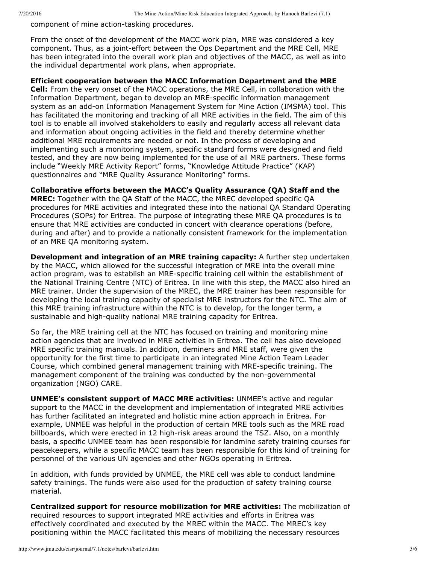component of mine action-tasking procedures.

From the onset of the development of the MACC work plan, MRE was considered a key component. Thus, as a joint-effort between the Ops Department and the MRE Cell, MRE has been integrated into the overall work plan and objectives of the MACC, as well as into the individual departmental work plans, when appropriate.

### **Efficient cooperation between the MACC Information Department and the MRE**

**Cell:** From the very onset of the MACC operations, the MRE Cell, in collaboration with the Information Department, began to develop an MREspecific information management system as an add-on Information Management System for Mine Action (IMSMA) tool. This has facilitated the monitoring and tracking of all MRE activities in the field. The aim of this tool is to enable all involved stakeholders to easily and regularly access all relevant data and information about ongoing activities in the field and thereby determine whether additional MRE requirements are needed or not. In the process of developing and implementing such a monitoring system, specific standard forms were designed and field tested, and they are now being implemented for the use of all MRE partners. These forms include "Weekly MRE Activity Report" forms, "Knowledge Attitude Practice" (KAP) questionnaires and "MRE Quality Assurance Monitoring" forms.

# **Collaborative efforts between the MACC's Quality Assurance (QA) Staff and the**

**MREC:** Together with the QA Staff of the MACC, the MREC developed specific QA procedures for MRE activities and integrated these into the national QA Standard Operating Procedures (SOPs) for Eritrea. The purpose of integrating these MRE QA procedures is to ensure that MRE activities are conducted in concert with clearance operations (before, during and after) and to provide a nationally consistent framework for the implementation of an MRE QA monitoring system.

**Development and integration of an MRE training capacity:** A further step undertaken by the MACC, which allowed for the successful integration of MRE into the overall mine action program, was to establish an MRE-specific training cell within the establishment of the National Training Centre (NTC) of Eritrea. In line with this step, the MACC also hired an MRE trainer. Under the supervision of the MREC, the MRE trainer has been responsible for developing the local training capacity of specialist MRE instructors for the NTC. The aim of this MRE training infrastructure within the NTC is to develop, for the longer term, a sustainable and high-quality national MRE training capacity for Eritrea.

So far, the MRE training cell at the NTC has focused on training and monitoring mine action agencies that are involved in MRE activities in Eritrea. The cell has also developed MRE specific training manuals. In addition, deminers and MRE staff, were given the opportunity for the first time to participate in an integrated Mine Action Team Leader Course, which combined general management training with MREspecific training. The management component of the training was conducted by the non-governmental organization (NGO) CARE.

**UNMEE's consistent support of MACC MRE activities:** UNMEE's active and regular support to the MACC in the development and implementation of integrated MRE activities has further facilitated an integrated and holistic mine action approach in Eritrea. For example, UNMEE was helpful in the production of certain MRE tools such as the MRE road billboards, which were erected in 12 high-risk areas around the TSZ. Also, on a monthly basis, a specific UNMEE team has been responsible for landmine safety training courses for peacekeepers, while a specific MACC team has been responsible for this kind of training for personnel of the various UN agencies and other NGOs operating in Eritrea.

In addition, with funds provided by UNMEE, the MRE cell was able to conduct landmine safety trainings. The funds were also used for the production of safety training course material.

**Centralized support for resource mobilization for MRE activities:** The mobilization of required resources to support integrated MRE activities and efforts in Eritrea was effectively coordinated and executed by the MREC within the MACC. The MREC's key positioning within the MACC facilitated this means of mobilizing the necessary resources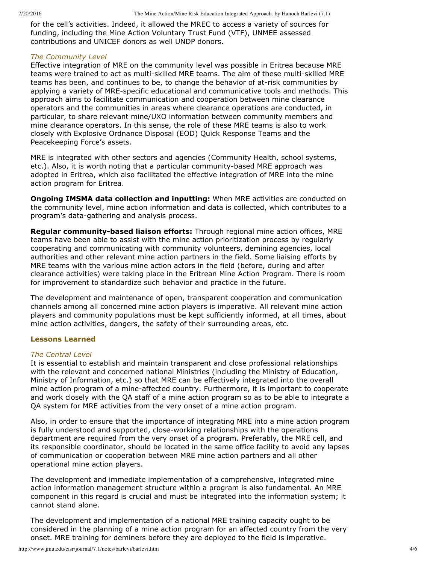for the cell's activities. Indeed, it allowed the MREC to access a variety of sources for funding, including the Mine Action Voluntary Trust Fund (VTF), UNMEE assessed contributions and UNICEF donors as well UNDP donors.

#### *The Community Level*

Effective integration of MRE on the community level was possible in Eritrea because MRE teams were trained to act as multi-skilled MRE teams. The aim of these multi-skilled MRE teams has been, and continues to be, to change the behavior of at-risk communities by applying a variety of MRE-specific educational and communicative tools and methods. This approach aims to facilitate communication and cooperation between mine clearance operators and the communities in areas where clearance operations are conducted, in particular, to share relevant mine/UXO information between community members and mine clearance operators. In this sense, the role of these MRE teams is also to work closely with Explosive Ordnance Disposal (EOD) Quick Response Teams and the Peacekeeping Force's assets.

MRE is integrated with other sectors and agencies (Community Health, school systems, etc.). Also, it is worth noting that a particular community-based MRE approach was adopted in Eritrea, which also facilitated the effective integration of MRE into the mine action program for Eritrea.

**Ongoing IMSMA data collection and inputting:** When MRE activities are conducted on the community level, mine action information and data is collected, which contributes to a program's data-gathering and analysis process.

**Regular community-based liaison efforts:** Through regional mine action offices, MRE teams have been able to assist with the mine action prioritization process by regularly cooperating and communicating with community volunteers, demining agencies, local authorities and other relevant mine action partners in the field. Some liaising efforts by MRE teams with the various mine action actors in the field (before, during and after clearance activities) were taking place in the Eritrean Mine Action Program. There is room for improvement to standardize such behavior and practice in the future.

The development and maintenance of open, transparent cooperation and communication channels among all concerned mine action players is imperative. All relevant mine action players and community populations must be kept sufficiently informed, at all times, about mine action activities, dangers, the safety of their surrounding areas, etc.

#### **Lessons Learned**

#### *The Central Level*

It is essential to establish and maintain transparent and close professional relationships with the relevant and concerned national Ministries (including the Ministry of Education, Ministry of Information, etc.) so that MRE can be effectively integrated into the overall mine action program of a mine-affected country. Furthermore, it is important to cooperate and work closely with the QA staff of a mine action program so as to be able to integrate a QA system for MRE activities from the very onset of a mine action program.

Also, in order to ensure that the importance of integrating MRE into a mine action program is fully understood and supported, close-working relationships with the operations department are required from the very onset of a program. Preferably, the MRE cell, and its responsible coordinator, should be located in the same office facility to avoid any lapses of communication or cooperation between MRE mine action partners and all other operational mine action players.

The development and immediate implementation of a comprehensive, integrated mine action information management structure within a program is also fundamental. An MRE component in this regard is crucial and must be integrated into the information system; it cannot stand alone.

The development and implementation of a national MRE training capacity ought to be considered in the planning of a mine action program for an affected country from the very onset. MRE training for deminers before they are deployed to the field is imperative.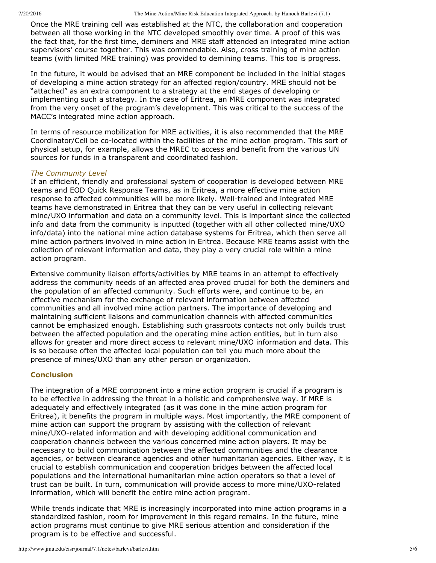7/20/2016 The Mine Action/Mine Risk Education Integrated Approach, by Hanoch Barlevi (7.1)

Once the MRE training cell was established at the NTC, the collaboration and cooperation between all those working in the NTC developed smoothly over time. A proof of this was the fact that, for the first time, deminers and MRE staff attended an integrated mine action supervisors' course together. This was commendable. Also, cross training of mine action teams (with limited MRE training) was provided to demining teams. This too is progress.

In the future, it would be advised that an MRE component be included in the initial stages of developing a mine action strategy for an affected region/country. MRE should not be "attached" as an extra component to a strategy at the end stages of developing or implementing such a strategy. In the case of Eritrea, an MRE component was integrated from the very onset of the program's development. This was critical to the success of the MACC's integrated mine action approach.

In terms of resource mobilization for MRE activities, it is also recommended that the MRE Coordinator/Cell be co-located within the facilities of the mine action program. This sort of physical setup, for example, allows the MREC to access and benefit from the various UN sources for funds in a transparent and coordinated fashion.

# *The Community Level*

If an efficient, friendly and professional system of cooperation is developed between MRE teams and EOD Quick Response Teams, as in Eritrea, a more effective mine action response to affected communities will be more likely. Well-trained and integrated MRE teams have demonstrated in Eritrea that they can be very useful in collecting relevant mine/UXO information and data on a community level. This is important since the collected info and data from the community is inputted (together with all other collected mine/UXO info/data) into the national mine action database systems for Eritrea, which then serve all mine action partners involved in mine action in Eritrea. Because MRE teams assist with the collection of relevant information and data, they play a very crucial role within a mine action program.

Extensive community liaison efforts/activities by MRE teams in an attempt to effectively address the community needs of an affected area proved crucial for both the deminers and the population of an affected community. Such efforts were, and continue to be, an effective mechanism for the exchange of relevant information between affected communities and all involved mine action partners. The importance of developing and maintaining sufficient liaisons and communication channels with affected communities cannot be emphasized enough. Establishing such grassroots contacts not only builds trust between the affected population and the operating mine action entities, but in turn also allows for greater and more direct access to relevant mine/UXO information and data. This is so because often the affected local population can tell you much more about the presence of mines/UXO than any other person or organization.

#### **Conclusion**

The integration of a MRE component into a mine action program is crucial if a program is to be effective in addressing the threat in a holistic and comprehensive way. If MRE is adequately and effectively integrated (as it was done in the mine action program for Eritrea), it benefits the program in multiple ways. Most importantly, the MRE component of mine action can support the program by assisting with the collection of relevant mine/UXO-related information and with developing additional communication and cooperation channels between the various concerned mine action players. It may be necessary to build communication between the affected communities and the clearance agencies, or between clearance agencies and other humanitarian agencies. Either way, it is crucial to establish communication and cooperation bridges between the affected local populations and the international humanitarian mine action operators so that a level of trust can be built. In turn, communication will provide access to more mine/UXO-related information, which will benefit the entire mine action program.

While trends indicate that MRE is increasingly incorporated into mine action programs in a standardized fashion, room for improvement in this regard remains. In the future, mine action programs must continue to give MRE serious attention and consideration if the program is to be effective and successful.